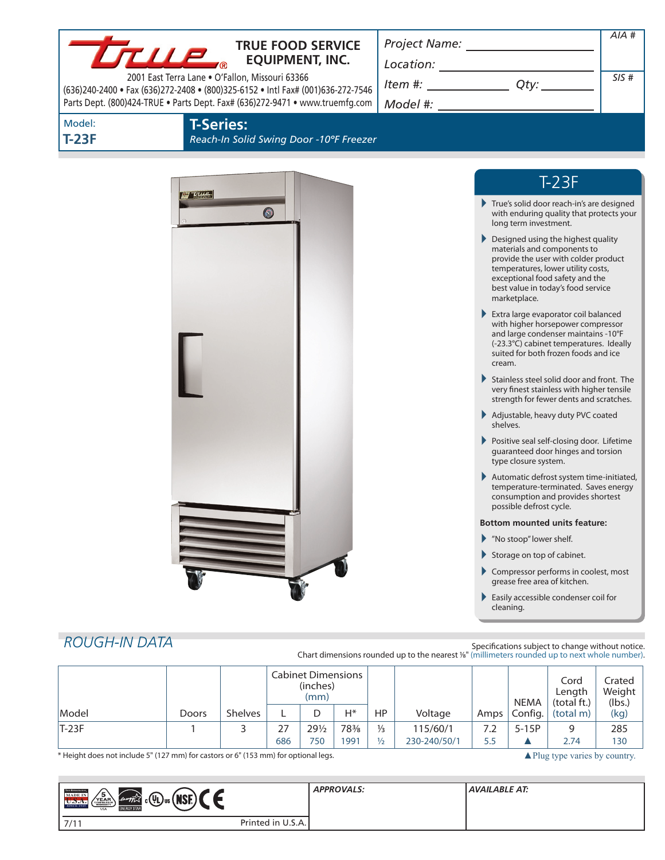|                        | $L \mathbf{L} \mathbf{L} \mathbf{P}_{\mathrm{a}}$<br>2001 East Terra Lane . O'Fallon, Missouri 63366 | <b>TRUE FOOD SERVICE</b><br><b>EQUIPMENT, INC.</b><br>(636)240-2400 · Fax (636)272-2408 · (800)325-6152 · Intl Fax# (001)636-272-7546<br>Parts Dept. (800)424-TRUE . Parts Dept. Fax# (636)272-9471 . www.truemfg.com | $\begin{array}{c}\n\text{Location:}\n\\ \hline\n\text{Item } \#: \begin{array}{c}\n\hline\n\end{array} \qquad \qquad \text{Qty:}\n\end{array}\n\end{array}$ |                                                                     |                                                                                                                                                                                    | AIA #<br>SIS#    |
|------------------------|------------------------------------------------------------------------------------------------------|-----------------------------------------------------------------------------------------------------------------------------------------------------------------------------------------------------------------------|-------------------------------------------------------------------------------------------------------------------------------------------------------------|---------------------------------------------------------------------|------------------------------------------------------------------------------------------------------------------------------------------------------------------------------------|------------------|
| Model:<br><b>T-23F</b> | <b>T-Series:</b>                                                                                     | Reach-In Solid Swing Door -10°F Freezer                                                                                                                                                                               |                                                                                                                                                             |                                                                     |                                                                                                                                                                                    |                  |
|                        | <del>of true</del>                                                                                   |                                                                                                                                                                                                                       |                                                                                                                                                             |                                                                     | $T-23F$                                                                                                                                                                            |                  |
|                        |                                                                                                      | $\bullet$                                                                                                                                                                                                             |                                                                                                                                                             | True's solid door reach-in's are designed<br>long term investment.  | with enduring quality that protects your                                                                                                                                           |                  |
|                        |                                                                                                      |                                                                                                                                                                                                                       |                                                                                                                                                             | Designed using the highest quality<br>marketplace.                  | materials and components to<br>provide the user with colder product<br>temperatures, lower utility costs,<br>exceptional food safety and the<br>best value in today's food service |                  |
|                        |                                                                                                      |                                                                                                                                                                                                                       |                                                                                                                                                             | Extra large evaporator coil balanced<br>cream.                      | with higher horsepower compressor<br>and large condenser maintains -10°F<br>(-23.3°C) cabinet temperatures. Ideally<br>suited for both frozen foods and ice                        |                  |
|                        |                                                                                                      |                                                                                                                                                                                                                       |                                                                                                                                                             | Stainless steel solid door and front. The                           | very finest stainless with higher tensile<br>strength for fewer dents and scratches.                                                                                               |                  |
|                        |                                                                                                      |                                                                                                                                                                                                                       |                                                                                                                                                             | Adjustable, heavy duty PVC coated<br>shelves.                       |                                                                                                                                                                                    |                  |
|                        |                                                                                                      |                                                                                                                                                                                                                       |                                                                                                                                                             | Positive seal self-closing door. Lifetime<br>type closure system.   | guaranteed door hinges and torsion                                                                                                                                                 |                  |
|                        |                                                                                                      |                                                                                                                                                                                                                       |                                                                                                                                                             | Automatic defrost system time-initiated,<br>possible defrost cycle. | temperature-terminated. Saves energy<br>consumption and provides shortest                                                                                                          |                  |
|                        |                                                                                                      |                                                                                                                                                                                                                       |                                                                                                                                                             | <b>Bottom mounted units feature:</b>                                |                                                                                                                                                                                    |                  |
|                        |                                                                                                      |                                                                                                                                                                                                                       |                                                                                                                                                             | Mo stoop" lower shelf.<br>Storage on top of cabinet.                |                                                                                                                                                                                    |                  |
|                        |                                                                                                      |                                                                                                                                                                                                                       |                                                                                                                                                             | Compressor performs in coolest, most                                |                                                                                                                                                                                    |                  |
|                        |                                                                                                      |                                                                                                                                                                                                                       |                                                                                                                                                             | Easily accessible condenser coil for<br>cleaning.                   | grease free area of kitchen.                                                                                                                                                       |                  |
|                        |                                                                                                      |                                                                                                                                                                                                                       |                                                                                                                                                             |                                                                     |                                                                                                                                                                                    |                  |
| <b>ROUGH-IN DATA</b>   |                                                                                                      |                                                                                                                                                                                                                       | Chart dimensions rounded up to the nearest 1/8" (millimeters rounded up to next whole number).                                                              | Specifications subject to change without notice.                    |                                                                                                                                                                                    |                  |
|                        |                                                                                                      | <b>Cabinet Dimensions</b><br>(inches)<br>(mm)                                                                                                                                                                         |                                                                                                                                                             |                                                                     | Cord<br>Length                                                                                                                                                                     | Crated<br>Weight |

|       |       |                |     | 11111153/<br>(mm) |       |               |              |                    | <b>NEMA</b> | Lenath<br>(total ft.) | Weigl<br>(lbs. |
|-------|-------|----------------|-----|-------------------|-------|---------------|--------------|--------------------|-------------|-----------------------|----------------|
| Model | Doors | <b>Shelves</b> |     |                   | $H^*$ | HP            | Voltage      | Amps               | Config.     | (total m)             | (kg)           |
| T-23F |       |                | דר  | 291/2             | 78%   | $\frac{1}{3}$ | 115/60/1     | $\cdot$ . $\angle$ | $5-15P$     |                       | 285            |
|       |       |                | 686 | 750               | 1991  | $\frac{1}{2}$ | 230-240/50/1 |                    |             | 2.74                  | 130            |

\* Height does not include 5" (127 mm) for castors or 6" (153 mm) for optional legs. <br> **A**Plug type varies by country.

(lbs.)

| <b>THE REFERENCE</b><br>′5<br><b>MADE IN</b><br><b>мог</b><br>$\int e^{i\omega} \hat{r} \hat{k} \hat{k} \cos(\Psi)$ us $(V)$<br>VEAP<br>U.S.A.<br><b>ENERGY STAR</b><br><b>USA</b> |                   | <b>APPROVALS:</b> | AVAILABLE AT: |
|------------------------------------------------------------------------------------------------------------------------------------------------------------------------------------|-------------------|-------------------|---------------|
| 7/1<br>.                                                                                                                                                                           | Printed in U.S.A. |                   |               |